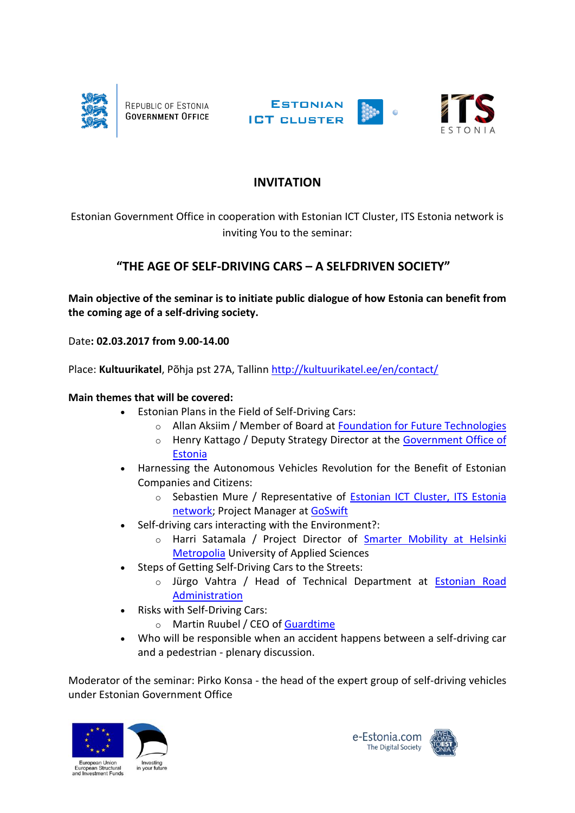

REPUBLIC OF ESTONIA **GOVERNMENT OFFICE** 





## **INVITATION**

Estonian Government Office in cooperation with Estonian ICT Cluster, ITS Estonia network is inviting You to the seminar:

## **"THE AGE OF SELF-DRIVING CARS – A SELFDRIVEN SOCIETY"**

**Main objective of the seminar is to initiate public dialogue of how Estonia can benefit from the coming age of a self-driving society.**

Date**: 02.03.2017 from 9.00-14.00**

Place: **Kultuurikatel**, Põhja pst 27A, Tallinn<http://kultuurikatel.ee/en/contact/>

## **Main themes that will be covered:**

- Estonian Plans in the Field of Self-Driving Cars:
	- o Allan Aksiim / Member of Board at [Foundation for Future Technologies](https://medium.com/@Tulevik/what-is-the-foundation-for-future-technologies-e1f19b408c04#.puh9fk5ta)
	- o Henry Kattago / Deputy Strategy Director at the [Government Office of](https://riigikantselei.ee/en)  [Estonia](https://riigikantselei.ee/en)
- Harnessing the Autonomous Vehicles Revolution for the Benefit of Estonian Companies and Citizens:
	- o Sebastien Mure / Representative of [Estonian ICT Cluster, ITS Estonia](http://www.itl.ee/cluster)  [network;](http://www.itl.ee/cluster) Project Manager at [GoSwift](http://www.goswift.eu/)
- Self-driving cars interacting with the Environment?:
	- o Harri Satamala / Project Director of [Smarter Mobility at Helsinki](https://www.helsinkismart.fi/joint-research-on-smart-mobility-at-metropolia/)  [Metropolia](https://www.helsinkismart.fi/joint-research-on-smart-mobility-at-metropolia/) University of Applied Sciences
- Steps of Getting Self-Driving Cars to the Streets:
	- o Jürgo Vahtra / Head of Technical Department at [Estonian Road](https://www.mnt.ee/eng/organization/estonian-road-administration)  [Administration](https://www.mnt.ee/eng/organization/estonian-road-administration)
- Risks with Self-Driving Cars:
	- o Martin Ruubel / CEO of [Guardtime](https://guardtime.com/)
- Who will be responsible when an accident happens between a self-driving car and a pedestrian - plenary discussion.

Moderator of the seminar: Pirko Konsa - the head of the expert group of self-driving vehicles under Estonian Government Office